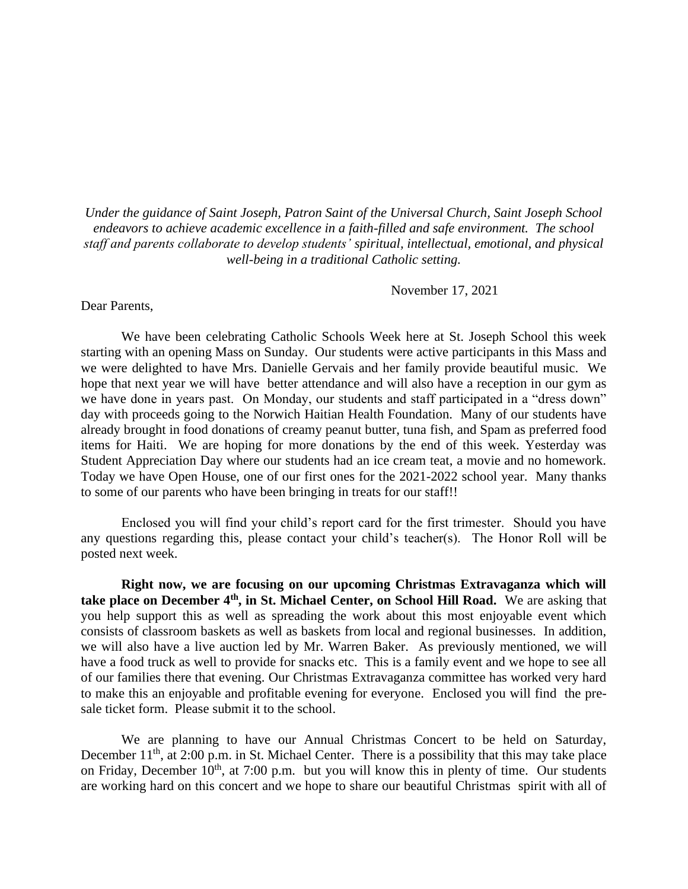*Under the guidance of Saint Joseph, Patron Saint of the Universal Church, Saint Joseph School endeavors to achieve academic excellence in a faith-filled and safe environment. The school staff and parents collaborate to develop students' spiritual, intellectual, emotional, and physical well-being in a traditional Catholic setting.*

November 17, 2021

Dear Parents,

We have been celebrating Catholic Schools Week here at St. Joseph School this week starting with an opening Mass on Sunday. Our students were active participants in this Mass and we were delighted to have Mrs. Danielle Gervais and her family provide beautiful music. We hope that next year we will have better attendance and will also have a reception in our gym as we have done in years past. On Monday, our students and staff participated in a "dress down" day with proceeds going to the Norwich Haitian Health Foundation. Many of our students have already brought in food donations of creamy peanut butter, tuna fish, and Spam as preferred food items for Haiti. We are hoping for more donations by the end of this week. Yesterday was Student Appreciation Day where our students had an ice cream teat, a movie and no homework. Today we have Open House, one of our first ones for the 2021-2022 school year. Many thanks to some of our parents who have been bringing in treats for our staff!!

Enclosed you will find your child's report card for the first trimester. Should you have any questions regarding this, please contact your child's teacher(s). The Honor Roll will be posted next week.

**Right now, we are focusing on our upcoming Christmas Extravaganza which will take place on December 4th, in St. Michael Center, on School Hill Road.** We are asking that you help support this as well as spreading the work about this most enjoyable event which consists of classroom baskets as well as baskets from local and regional businesses. In addition, we will also have a live auction led by Mr. Warren Baker. As previously mentioned, we will have a food truck as well to provide for snacks etc. This is a family event and we hope to see all of our families there that evening. Our Christmas Extravaganza committee has worked very hard to make this an enjoyable and profitable evening for everyone. Enclosed you will find the presale ticket form. Please submit it to the school.

We are planning to have our Annual Christmas Concert to be held on Saturday, December  $11<sup>th</sup>$ , at 2:00 p.m. in St. Michael Center. There is a possibility that this may take place on Friday, December  $10^{th}$ , at 7:00 p.m. but you will know this in plenty of time. Our students are working hard on this concert and we hope to share our beautiful Christmas spirit with all of